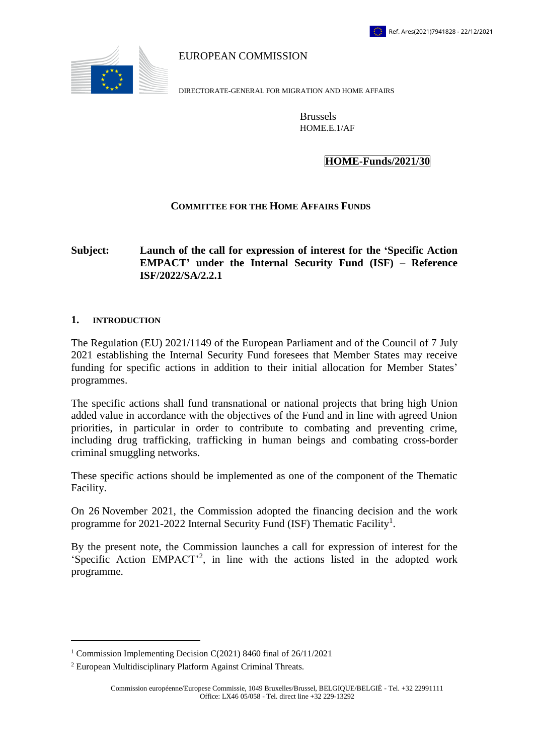

EUROPEAN COMMISSION

DIRECTORATE-GENERAL FOR MIGRATION AND HOME AFFAIRS

Brussels HOME.E.1/AF

### **HOME-Funds/2021/30**

#### **COMMITTEE FOR THE HOME AFFAIRS FUNDS**

## **Subject: Launch of the call for expression of interest for the 'Specific Action EMPACT' under the Internal Security Fund (ISF) – Reference ISF/2022/SA/2.2.1**

#### **1. INTRODUCTION**

 $\overline{a}$ 

The Regulation (EU) 2021/1149 of the European Parliament and of the Council of 7 July 2021 establishing the Internal Security Fund foresees that Member States may receive funding for specific actions in addition to their initial allocation for Member States' programmes.

The specific actions shall fund transnational or national projects that bring high Union added value in accordance with the objectives of the Fund and in line with agreed Union priorities, in particular in order to contribute to combating and preventing crime, including drug trafficking, trafficking in human beings and combating cross-border criminal smuggling networks.

These specific actions should be implemented as one of the component of the Thematic Facility.

On 26 November 2021, the Commission adopted the financing decision and the work programme for 2021-2022 Internal Security Fund (ISF) Thematic Facility<sup>1</sup>.

By the present note, the Commission launches a call for expression of interest for the 'Specific Action EMPACT'<sup>2</sup> , in line with the actions listed in the adopted work programme.

<sup>1</sup> Commission Implementing Decision C(2021) 8460 final of 26/11/2021

<sup>2</sup> European Multidisciplinary Platform Against Criminal Threats.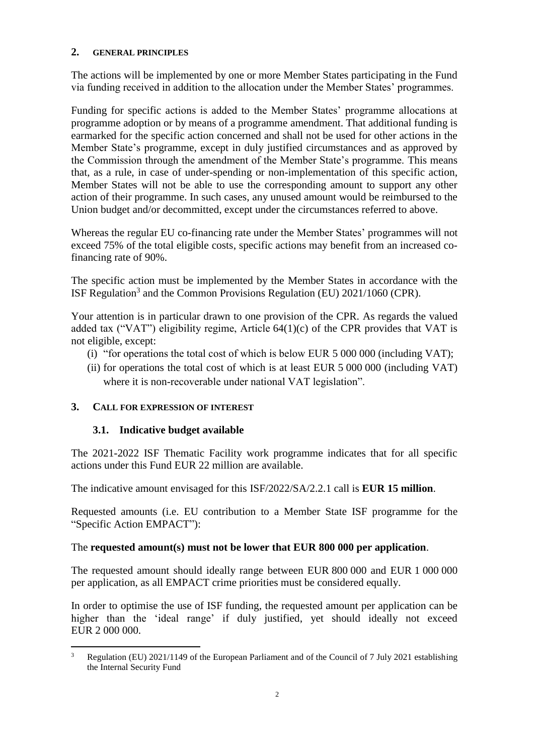### **2. GENERAL PRINCIPLES**

The actions will be implemented by one or more Member States participating in the Fund via funding received in addition to the allocation under the Member States' programmes.

Funding for specific actions is added to the Member States' programme allocations at programme adoption or by means of a programme amendment. That additional funding is earmarked for the specific action concerned and shall not be used for other actions in the Member State's programme, except in duly justified circumstances and as approved by the Commission through the amendment of the Member State's programme. This means that, as a rule, in case of under-spending or non-implementation of this specific action, Member States will not be able to use the corresponding amount to support any other action of their programme. In such cases, any unused amount would be reimbursed to the Union budget and/or decommitted, except under the circumstances referred to above.

Whereas the regular EU co-financing rate under the Member States' programmes will not exceed 75% of the total eligible costs, specific actions may benefit from an increased cofinancing rate of 90%.

The specific action must be implemented by the Member States in accordance with the ISF Regulation<sup>3</sup> and the Common Provisions Regulation (EU)  $2021/1060$  (CPR).

Your attention is in particular drawn to one provision of the CPR. As regards the valued added tax ("VAT") eligibility regime, Article  $64(1)(c)$  of the CPR provides that VAT is not eligible, except:

- (i) "for operations the total cost of which is below EUR 5 000 000 (including VAT);
- (ii) for operations the total cost of which is at least EUR 5 000 000 (including VAT) where it is non-recoverable under national VAT legislation".

## **3. CALL FOR EXPRESSION OF INTEREST**

## **3.1. Indicative budget available**

The 2021-2022 ISF Thematic Facility work programme indicates that for all specific actions under this Fund EUR 22 million are available.

The indicative amount envisaged for this ISF/2022/SA/2.2.1 call is **EUR 15 million**.

Requested amounts (i.e. EU contribution to a Member State ISF programme for the "Specific Action EMPACT"):

## The **requested amount(s) must not be lower that EUR 800 000 per application**.

The requested amount should ideally range between EUR 800 000 and EUR 1 000 000 per application, as all EMPACT crime priorities must be considered equally.

In order to optimise the use of ISF funding, the requested amount per application can be higher than the 'ideal range' if duly justified, yet should ideally not exceed EUR 2 000 000.

 $\overline{a}$ <sup>3</sup> Regulation (EU) 2021/1149 of the European Parliament and of the Council of 7 July 2021 establishing the Internal Security Fund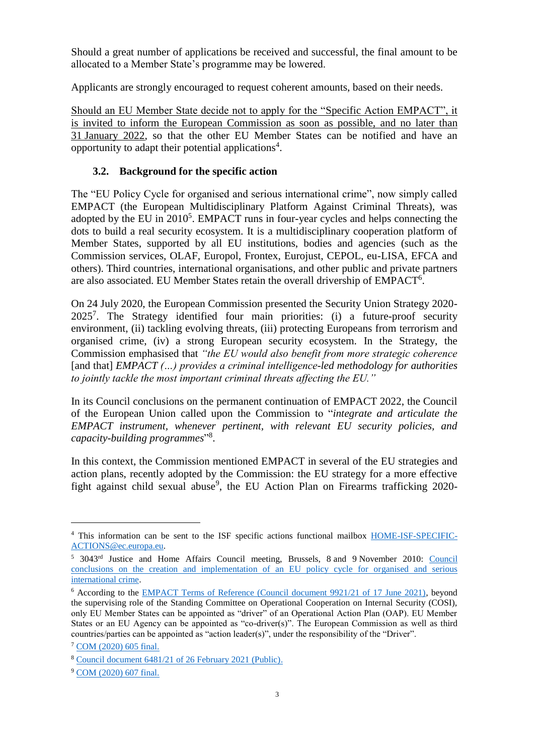Should a great number of applications be received and successful, the final amount to be allocated to a Member State's programme may be lowered.

Applicants are strongly encouraged to request coherent amounts, based on their needs.

Should an EU Member State decide not to apply for the "Specific Action EMPACT", it is invited to inform the European Commission as soon as possible, and no later than 31 January 2022, so that the other EU Member States can be notified and have an opportunity to adapt their potential applications<sup>4</sup>.

# **3.2. Background for the specific action**

The "EU Policy Cycle for organised and serious international crime", now simply called EMPACT (the European Multidisciplinary Platform Against Criminal Threats), was adopted by the EU in  $2010^5$ . EMPACT runs in four-year cycles and helps connecting the dots to build a real security ecosystem. It is a multidisciplinary cooperation platform of Member States, supported by all EU institutions, bodies and agencies (such as the Commission services, OLAF, Europol, Frontex, Eurojust, CEPOL, eu-LISA, EFCA and others). Third countries, international organisations, and other public and private partners are also associated. EU Member States retain the overall drivership of EMPACT<sup>6</sup>.

On 24 July 2020, the European Commission presented the Security Union Strategy 2020- 2025<sup>7</sup> . The Strategy identified four main priorities: (i) a future-proof security environment, (ii) tackling evolving threats, (iii) protecting Europeans from terrorism and organised crime, (iv) a strong European security ecosystem. In the Strategy, the Commission emphasised that *"the EU would also benefit from more strategic coherence*  [and that] *EMPACT (…) provides a criminal intelligence-led methodology for authorities to jointly tackle the most important criminal threats affecting the EU."* 

In its Council conclusions on the permanent continuation of EMPACT 2022, the Council of the European Union called upon the Commission to "*integrate and articulate the EMPACT instrument, whenever pertinent, with relevant EU security policies, and capacity-building programmes*" 8 .

In this context, the Commission mentioned EMPACT in several of the EU strategies and action plans, recently adopted by the Commission: the EU strategy for a more effective fight against child sexual abuse<sup>9</sup>, the EU Action Plan on Firearms trafficking 2020-

<sup>4</sup> This information can be sent to the ISF specific actions functional mailbox [HOME-ISF-SPECIFIC-](mailto:HOME-ISF-SPECIFIC-ACTIONS@ec.europa.eu)[ACTIONS@ec.europa.eu.](mailto:HOME-ISF-SPECIFIC-ACTIONS@ec.europa.eu)

<sup>&</sup>lt;sup>5</sup> 3043<sup>rd</sup> Justice and Home Affairs [Council](https://www.consilium.europa.eu/uedocs/cms_data/docs/pressdata/en/jha/117583.pdf) meeting, Brussels, 8 and 9 November 2010: Council [conclusions on the creation and implementation of an EU policy cycle for organised and serious](https://www.consilium.europa.eu/uedocs/cms_data/docs/pressdata/en/jha/117583.pdf)  [international crime.](https://www.consilium.europa.eu/uedocs/cms_data/docs/pressdata/en/jha/117583.pdf)

<sup>6</sup> According to the [EMPACT Terms of Reference \(Council document 9921/21 of 17 June 2021\),](https://data.consilium.europa.eu/doc/document/ST-9921-2021-INIT/en/pdf) beyond the supervising role of the Standing Committee on Operational Cooperation on Internal Security (COSI), only EU Member States can be appointed as "driver" of an Operational Action Plan (OAP). EU Member States or an EU Agency can be appointed as "co-driver(s)". The European Commission as well as third countries/parties can be appointed as "action leader(s)", under the responsibility of the "Driver".

<sup>7</sup> [COM \(2020\) 605 final.](https://eur-lex.europa.eu/legal-content/EN/TXT/?uri=CELEX%3A52020DC0605)

<sup>8</sup> [Council document 6481/21 of 26 February 2021 \(Public\).](https://data.consilium.europa.eu/doc/document/ST-6481-2021-INIT/en/pdf)

<sup>9</sup> [COM \(2020\) 607 final.](https://ec.europa.eu/home-affairs/system/files/2020-07/20200724_com-2020-607-commission-communication_en.pdf)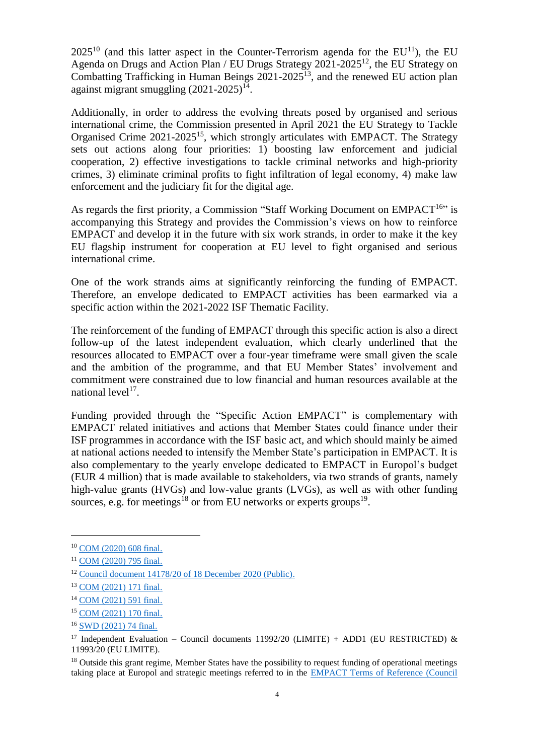$2025^{10}$  (and this latter aspect in the Counter-Terrorism agenda for the EU<sup>11</sup>), the EU Agenda on Drugs and Action Plan / EU Drugs Strategy 2021-2025<sup>12</sup>, the EU Strategy on Combatting Trafficking in Human Beings  $2021-2025^{13}$ , and the renewed EU action plan against migrant smuggling  $(2021-2025)^{14}$ .

Additionally, in order to address the evolving threats posed by organised and serious international crime, the Commission presented in April 2021 the EU Strategy to Tackle Organised Crime 2021-2025<sup>15</sup>, which strongly articulates with EMPACT. The Strategy sets out actions along four priorities: 1) boosting law enforcement and judicial cooperation, 2) effective investigations to tackle criminal networks and high-priority crimes, 3) eliminate criminal profits to fight infiltration of legal economy, 4) make law enforcement and the judiciary fit for the digital age.

As regards the first priority, a Commission "Staff Working Document on  $EMPACT^{16}$ " is accompanying this Strategy and provides the Commission's views on how to reinforce EMPACT and develop it in the future with six work strands, in order to make it the key EU flagship instrument for cooperation at EU level to fight organised and serious international crime.

One of the work strands aims at significantly reinforcing the funding of EMPACT. Therefore, an envelope dedicated to EMPACT activities has been earmarked via a specific action within the 2021-2022 ISF Thematic Facility.

The reinforcement of the funding of EMPACT through this specific action is also a direct follow-up of the latest independent evaluation, which clearly underlined that the resources allocated to EMPACT over a four-year timeframe were small given the scale and the ambition of the programme, and that EU Member States' involvement and commitment were constrained due to low financial and human resources available at the national level<sup>17</sup>.

Funding provided through the "Specific Action EMPACT" is complementary with EMPACT related initiatives and actions that Member States could finance under their ISF programmes in accordance with the ISF basic act, and which should mainly be aimed at national actions needed to intensify the Member State's participation in EMPACT. It is also complementary to the yearly envelope dedicated to EMPACT in Europol's budget (EUR 4 million) that is made available to stakeholders, via two strands of grants, namely high-value grants (HVGs) and low-value grants (LVGs), as well as with other funding sources, e.g. for meetings<sup>18</sup> or from EU networks or experts groups<sup>19</sup>.

<sup>10</sup> [COM \(2020\) 608 final.](https://eur-lex.europa.eu/legal-content/EN/TXT/?uri=CELEX%3A52020DC0608)

<sup>11</sup> [COM \(2020\) 795 final.](https://eur-lex.europa.eu/legal-content/EN/TXT/?uri=CELEX%3A52020DC0795&qid=1631885972581)

<sup>12</sup> [Council document 14178/20 of 18 December 2020 \(Public\).](https://data.consilium.europa.eu/doc/document/ST-14178-2020-INIT/en/pdf)

<sup>13</sup> [COM \(2021\) 171 final.](https://ec.europa.eu/home-affairs/system/files_en?file=2021-04/14042021_eu_strategy_on_combatting_trafficking_in_human_beings_2021-2025_com-2021-171-1_en.pdf)

<sup>14</sup> [COM \(2021\) 591 final.](https://ec.europa.eu/home-affairs/renewed-eu-action-plan-against-migrant-smuggling-2021-2025-com-2021-591_en)

<sup>15</sup> [COM \(2021\) 170 final.](https://eur-lex.europa.eu/legal-content/EN/TXT/?uri=CELEX%3A52021DC0170&qid=1632306192409)

<sup>&</sup>lt;sup>16</sup> [SWD \(2021\) 74 final.](https://ec.europa.eu/home-affairs/system/files/2021-04/14042021_empact_the_eu_flagship_instrument_for_cooperation_to_fight_organised_and_serious_international_crime_swd-2021-74_en.pdf)

<sup>&</sup>lt;sup>17</sup> Independent Evaluation – Council documents 11992/20 (LIMITE) + ADD1 (EU RESTRICTED)  $\&$ 11993/20 (EU LIMITE).

<sup>&</sup>lt;sup>18</sup> Outside this grant regime, Member States have the possibility to request funding of operational meetings taking place at Europol and strategic meetings referred to in the [EMPACT Terms of Reference \(Council](https://data.consilium.europa.eu/doc/document/ST-9921-2021-INIT/en/pdf)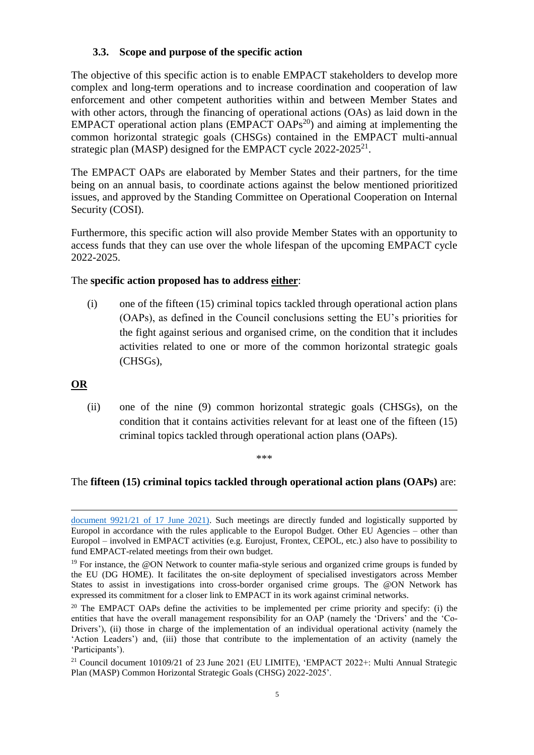## **3.3. Scope and purpose of the specific action**

The objective of this specific action is to enable EMPACT stakeholders to develop more complex and long-term operations and to increase coordination and cooperation of law enforcement and other competent authorities within and between Member States and with other actors, through the financing of operational actions (OAs) as laid down in the EMPACT operational action plans (EMPACT OAPs<sup>20</sup>) and aiming at implementing the common horizontal strategic goals (CHSGs) contained in the EMPACT multi-annual strategic plan (MASP) designed for the EMPACT cycle 2022-2025<sup>21</sup>.

The EMPACT OAPs are elaborated by Member States and their partners, for the time being on an annual basis, to coordinate actions against the below mentioned prioritized issues, and approved by the Standing Committee on Operational Cooperation on Internal Security (COSI).

Furthermore, this specific action will also provide Member States with an opportunity to access funds that they can use over the whole lifespan of the upcoming EMPACT cycle 2022-2025.

## The **specific action proposed has to address either**:

(i) one of the fifteen (15) criminal topics tackled through operational action plans (OAPs), as defined in the Council conclusions setting the EU's priorities for the fight against serious and organised crime, on the condition that it includes activities related to one or more of the common horizontal strategic goals (CHSGs),

## **OR**

 $\overline{a}$ 

(ii) one of the nine (9) common horizontal strategic goals (CHSGs), on the condition that it contains activities relevant for at least one of the fifteen (15) criminal topics tackled through operational action plans (OAPs).

#### \*\*\*

## The **fifteen (15) criminal topics tackled through operational action plans (OAPs)** are:

[document 9921/21 of 17 June 2021\).](https://data.consilium.europa.eu/doc/document/ST-9921-2021-INIT/en/pdf) Such meetings are directly funded and logistically supported by Europol in accordance with the rules applicable to the Europol Budget. Other EU Agencies – other than Europol – involved in EMPACT activities (e.g. Eurojust, Frontex, CEPOL, etc.) also have to possibility to fund EMPACT-related meetings from their own budget.

 $19$  For instance, the @ON Network to counter mafia-style serious and organized crime groups is funded by the EU (DG HOME). It facilitates the on-site deployment of specialised investigators across Member States to assist in investigations into cross-border organised crime groups. The @ON Network has expressed its commitment for a closer link to EMPACT in its work against criminal networks.

<sup>&</sup>lt;sup>20</sup> The EMPACT OAPs define the activities to be implemented per crime priority and specify: (i) the entities that have the overall management responsibility for an OAP (namely the 'Drivers' and the 'Co-Drivers'), (ii) those in charge of the implementation of an individual operational activity (namely the 'Action Leaders') and, (iii) those that contribute to the implementation of an activity (namely the 'Participants').

<sup>21</sup> Council document 10109/21 of 23 June 2021 (EU LIMITE), 'EMPACT 2022+: Multi Annual Strategic Plan (MASP) Common Horizontal Strategic Goals (CHSG) 2022-2025'.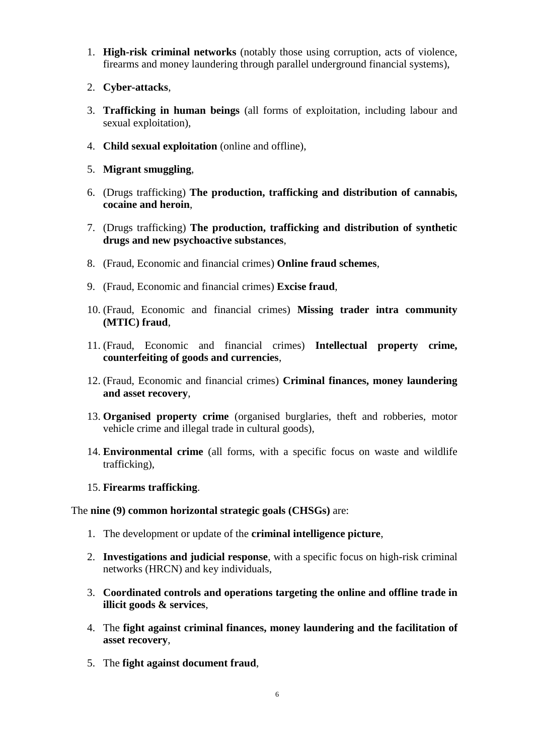- 1. **High-risk criminal networks** (notably those using corruption, acts of violence, firearms and money laundering through parallel underground financial systems),
- 2. **Cyber-attacks**,
- 3. **Trafficking in human beings** (all forms of exploitation, including labour and sexual exploitation),
- 4. **Child sexual exploitation** (online and offline),
- 5. **Migrant smuggling**,
- 6. (Drugs trafficking) **The production, trafficking and distribution of cannabis, cocaine and heroin**,
- 7. (Drugs trafficking) **The production, trafficking and distribution of synthetic drugs and new psychoactive substances**,
- 8. (Fraud, Economic and financial crimes) **Online fraud schemes**,
- 9. (Fraud, Economic and financial crimes) **Excise fraud**,
- 10. (Fraud, Economic and financial crimes) **Missing trader intra community (MTIC) fraud**,
- 11. (Fraud, Economic and financial crimes) **Intellectual property crime, counterfeiting of goods and currencies**,
- 12. (Fraud, Economic and financial crimes) **Criminal finances, money laundering and asset recovery**,
- 13. **Organised property crime** (organised burglaries, theft and robberies, motor vehicle crime and illegal trade in cultural goods),
- 14. **Environmental crime** (all forms, with a specific focus on waste and wildlife trafficking),
- 15. **Firearms trafficking**.

#### The **nine (9) common horizontal strategic goals (CHSGs)** are:

- 1. The development or update of the **criminal intelligence picture**,
- 2. **Investigations and judicial response**, with a specific focus on high-risk criminal networks (HRCN) and key individuals,
- 3. **Coordinated controls and operations targeting the online and offline trade in illicit goods & services**,
- 4. The **fight against criminal finances, money laundering and the facilitation of asset recovery**,
- 5. The **fight against document fraud**,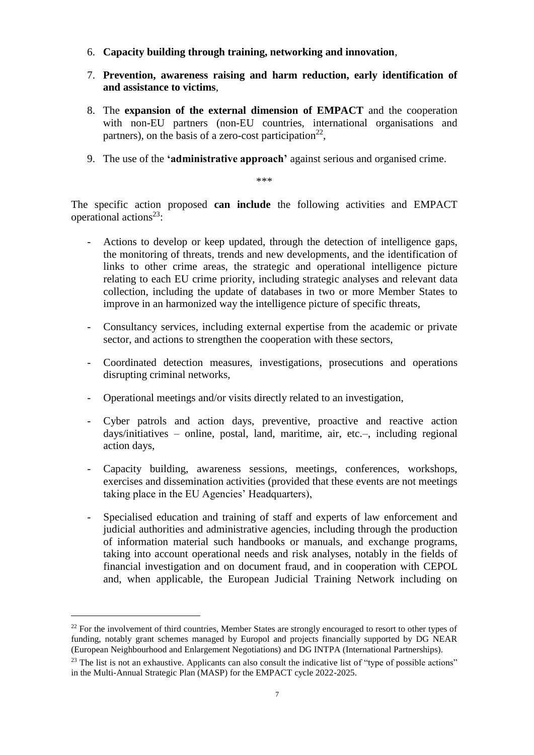- 6. **Capacity building through training, networking and innovation**,
- 7. **Prevention, awareness raising and harm reduction, early identification of and assistance to victims**,
- 8. The **expansion of the external dimension of EMPACT** and the cooperation with non-EU partners (non-EU countries, international organisations and partners), on the basis of a zero-cost participation<sup>22</sup>,
- 9. The use of the **'administrative approach'** against serious and organised crime.

\*\*\*

The specific action proposed **can include** the following activities and EMPACT operational actions<sup>23</sup>:

- Actions to develop or keep updated, through the detection of intelligence gaps, the monitoring of threats, trends and new developments, and the identification of links to other crime areas, the strategic and operational intelligence picture relating to each EU crime priority, including strategic analyses and relevant data collection, including the update of databases in two or more Member States to improve in an harmonized way the intelligence picture of specific threats,
- Consultancy services, including external expertise from the academic or private sector, and actions to strengthen the cooperation with these sectors,
- Coordinated detection measures, investigations, prosecutions and operations disrupting criminal networks,
- Operational meetings and/or visits directly related to an investigation,
- Cyber patrols and action days, preventive, proactive and reactive action days/initiatives – online, postal, land, maritime, air, etc.–, including regional action days,
- Capacity building, awareness sessions, meetings, conferences, workshops, exercises and dissemination activities (provided that these events are not meetings taking place in the EU Agencies' Headquarters),
- Specialised education and training of staff and experts of law enforcement and judicial authorities and administrative agencies, including through the production of information material such handbooks or manuals, and exchange programs, taking into account operational needs and risk analyses, notably in the fields of financial investigation and on document fraud, and in cooperation with CEPOL and, when applicable, the European Judicial Training Network including on

<sup>&</sup>lt;sup>22</sup> For the involvement of third countries, Member States are strongly encouraged to resort to other types of funding, notably grant schemes managed by Europol and projects financially supported by DG NEAR (European Neighbourhood and Enlargement Negotiations) and DG INTPA (International Partnerships).

 $^{23}$  The list is not an exhaustive. Applicants can also consult the indicative list of "type of possible actions" in the Multi-Annual Strategic Plan (MASP) for the EMPACT cycle 2022-2025.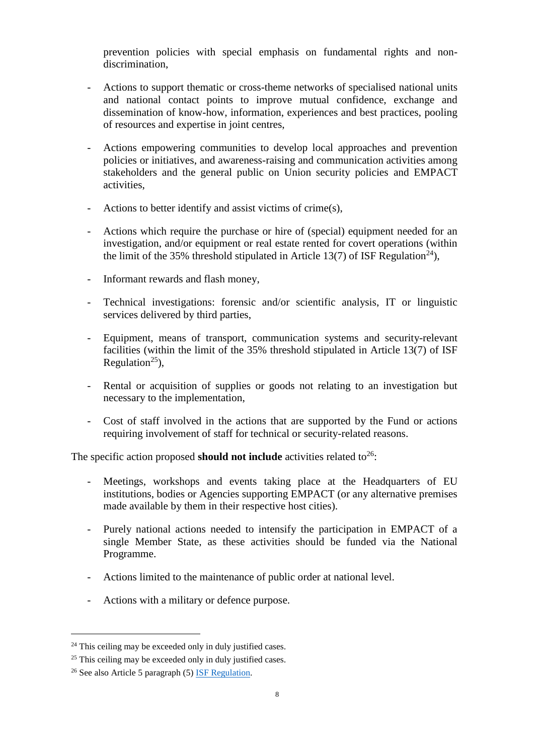prevention policies with special emphasis on fundamental rights and nondiscrimination,

- Actions to support thematic or cross-theme networks of specialised national units and national contact points to improve mutual confidence, exchange and dissemination of know-how, information, experiences and best practices, pooling of resources and expertise in joint centres,
- Actions empowering communities to develop local approaches and prevention policies or initiatives, and awareness-raising and communication activities among stakeholders and the general public on Union security policies and EMPACT activities,
- Actions to better identify and assist victims of crime(s),
- Actions which require the purchase or hire of (special) equipment needed for an investigation, and/or equipment or real estate rented for covert operations (within the limit of the 35% threshold stipulated in Article 13(7) of ISF Regulation<sup>24</sup>),
- Informant rewards and flash money,
- Technical investigations: forensic and/or scientific analysis, IT or linguistic services delivered by third parties,
- Equipment, means of transport, communication systems and security-relevant facilities (within the limit of the 35% threshold stipulated in Article 13(7) of ISF Regulation<sup>25</sup>),
- Rental or acquisition of supplies or goods not relating to an investigation but necessary to the implementation,
- Cost of staff involved in the actions that are supported by the Fund or actions requiring involvement of staff for technical or security-related reasons.

The specific action proposed **should not include** activities related to<sup>26</sup>:

- Meetings, workshops and events taking place at the Headquarters of EU institutions, bodies or Agencies supporting EMPACT (or any alternative premises made available by them in their respective host cities).
- Purely national actions needed to intensify the participation in EMPACT of a single Member State, as these activities should be funded via the National Programme.
- Actions limited to the maintenance of public order at national level.
- Actions with a military or defence purpose.

 $24$  This ceiling may be exceeded only in duly justified cases.

 $25$  This ceiling may be exceeded only in duly justified cases.

<sup>26</sup> See also Article 5 paragraph (5) [ISF Regulation.](https://eur-lex.europa.eu/legal-content/EN/TXT/?uri=CELEX%3A32021R1149)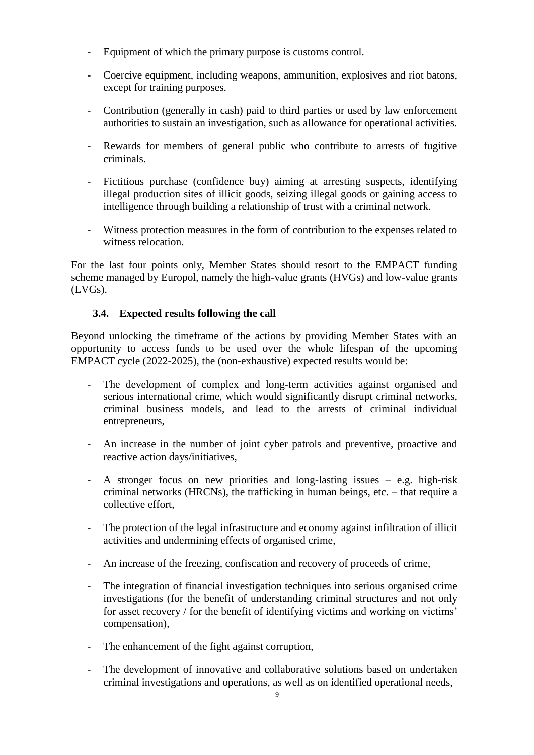- Equipment of which the primary purpose is customs control.
- Coercive equipment, including weapons, ammunition, explosives and riot batons, except for training purposes.
- Contribution (generally in cash) paid to third parties or used by law enforcement authorities to sustain an investigation, such as allowance for operational activities.
- Rewards for members of general public who contribute to arrests of fugitive criminals.
- Fictitious purchase (confidence buy) aiming at arresting suspects, identifying illegal production sites of illicit goods, seizing illegal goods or gaining access to intelligence through building a relationship of trust with a criminal network.
- Witness protection measures in the form of contribution to the expenses related to witness relocation.

For the last four points only, Member States should resort to the EMPACT funding scheme managed by Europol, namely the high-value grants (HVGs) and low-value grants (LVGs).

## **3.4. Expected results following the call**

Beyond unlocking the timeframe of the actions by providing Member States with an opportunity to access funds to be used over the whole lifespan of the upcoming EMPACT cycle (2022-2025), the (non-exhaustive) expected results would be:

- The development of complex and long-term activities against organised and serious international crime, which would significantly disrupt criminal networks, criminal business models, and lead to the arrests of criminal individual entrepreneurs,
- An increase in the number of joint cyber patrols and preventive, proactive and reactive action days/initiatives,
- A stronger focus on new priorities and long-lasting issues e.g. high-risk criminal networks (HRCNs), the trafficking in human beings, etc. – that require a collective effort,
- The protection of the legal infrastructure and economy against infiltration of illicit activities and undermining effects of organised crime,
- An increase of the freezing, confiscation and recovery of proceeds of crime,
- The integration of financial investigation techniques into serious organised crime investigations (for the benefit of understanding criminal structures and not only for asset recovery / for the benefit of identifying victims and working on victims' compensation),
- The enhancement of the fight against corruption,
- The development of innovative and collaborative solutions based on undertaken criminal investigations and operations, as well as on identified operational needs,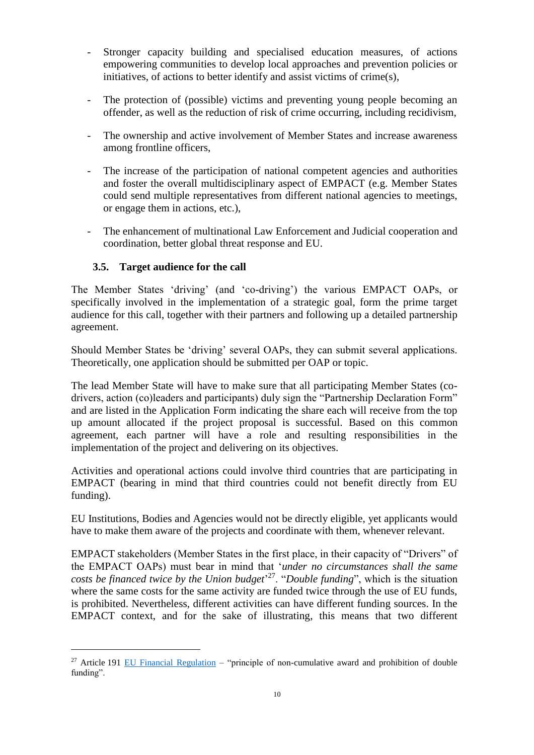- Stronger capacity building and specialised education measures, of actions empowering communities to develop local approaches and prevention policies or initiatives, of actions to better identify and assist victims of crime(s),
- The protection of (possible) victims and preventing young people becoming an offender, as well as the reduction of risk of crime occurring, including recidivism,
- The ownership and active involvement of Member States and increase awareness among frontline officers,
- The increase of the participation of national competent agencies and authorities and foster the overall multidisciplinary aspect of EMPACT (e.g. Member States could send multiple representatives from different national agencies to meetings, or engage them in actions, etc.),
- The enhancement of multinational Law Enforcement and Judicial cooperation and coordination, better global threat response and EU.

## **3.5. Target audience for the call**

 $\overline{a}$ 

The Member States 'driving' (and 'co-driving') the various EMPACT OAPs, or specifically involved in the implementation of a strategic goal, form the prime target audience for this call, together with their partners and following up a detailed partnership agreement.

Should Member States be 'driving' several OAPs, they can submit several applications. Theoretically, one application should be submitted per OAP or topic.

The lead Member State will have to make sure that all participating Member States (codrivers, action (co)leaders and participants) duly sign the "Partnership Declaration Form" and are listed in the Application Form indicating the share each will receive from the top up amount allocated if the project proposal is successful. Based on this common agreement, each partner will have a role and resulting responsibilities in the implementation of the project and delivering on its objectives.

Activities and operational actions could involve third countries that are participating in EMPACT (bearing in mind that third countries could not benefit directly from EU funding).

EU Institutions, Bodies and Agencies would not be directly eligible, yet applicants would have to make them aware of the projects and coordinate with them, whenever relevant.

EMPACT stakeholders (Member States in the first place, in their capacity of "Drivers" of the EMPACT OAPs) must bear in mind that '*under no circumstances shall the same costs be financed twice by the Union budget*' <sup>27</sup>. "*Double funding*", which is the situation where the same costs for the same activity are funded twice through the use of EU funds, is prohibited. Nevertheless, different activities can have different funding sources. In the EMPACT context, and for the sake of illustrating, this means that two different

<sup>&</sup>lt;sup>27</sup> Article 191 [EU Financial Regulation](https://op.europa.eu/en/publication-detail/-/publication/e9488da5-d66f-11e8-9424-01aa75ed71a1/language-en/format-PDF/source-86606884) – "principle of non-cumulative award and prohibition of double funding".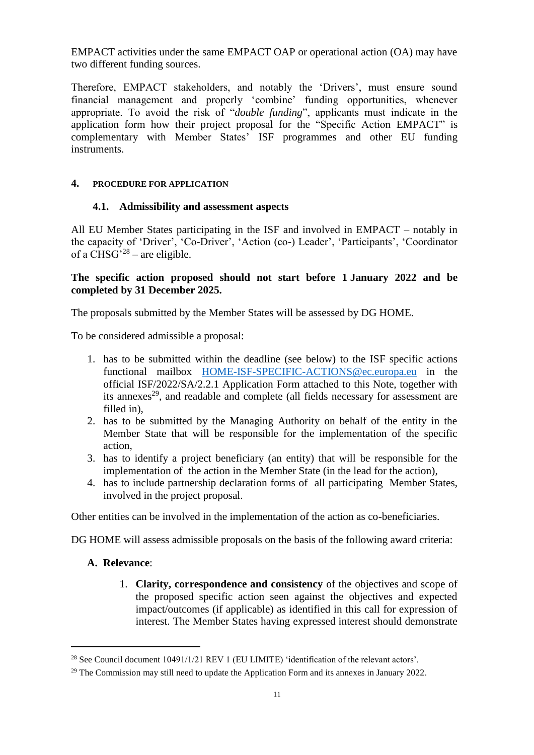EMPACT activities under the same EMPACT OAP or operational action (OA) may have two different funding sources.

Therefore, EMPACT stakeholders, and notably the 'Drivers', must ensure sound financial management and properly 'combine' funding opportunities, whenever appropriate. To avoid the risk of "*double funding*", applicants must indicate in the application form how their project proposal for the "Specific Action EMPACT" is complementary with Member States' ISF programmes and other EU funding instruments.

## **4. PROCEDURE FOR APPLICATION**

#### **4.1. Admissibility and assessment aspects**

All EU Member States participating in the ISF and involved in EMPACT – notably in the capacity of 'Driver', 'Co-Driver', 'Action (co-) Leader', 'Participants', 'Coordinator of a CHSG<sup> $28$ </sup> – are eligible.

## **The specific action proposed should not start before 1 January 2022 and be completed by 31 December 2025.**

The proposals submitted by the Member States will be assessed by DG HOME.

To be considered admissible a proposal:

- 1. has to be submitted within the deadline (see below) to the ISF specific actions functional mailbox [HOME-ISF-SPECIFIC-ACTIONS@ec.europa.eu](mailto:HOME-ISF-SPECIFIC-ACTIONS@ec.europa.eu) in the official ISF/2022/SA/2.2.1 Application Form attached to this Note, together with its annexes<sup>29</sup>, and readable and complete (all fields necessary for assessment are filled in)
- 2. has to be submitted by the Managing Authority on behalf of the entity in the Member State that will be responsible for the implementation of the specific action,
- 3. has to identify a project beneficiary (an entity) that will be responsible for the implementation of the action in the Member State (in the lead for the action),
- 4. has to include partnership declaration forms of all participating Member States, involved in the project proposal.

Other entities can be involved in the implementation of the action as co-beneficiaries.

DG HOME will assess admissible proposals on the basis of the following award criteria:

#### **A. Relevance**:

 $\overline{a}$ 

1. **Clarity, correspondence and consistency** of the objectives and scope of the proposed specific action seen against the objectives and expected impact/outcomes (if applicable) as identified in this call for expression of interest. The Member States having expressed interest should demonstrate

<sup>&</sup>lt;sup>28</sup> See Council document 10491/1/21 REV 1 (EU LIMITE) 'identification of the relevant actors'.

 $29$  The Commission may still need to update the Application Form and its annexes in January 2022.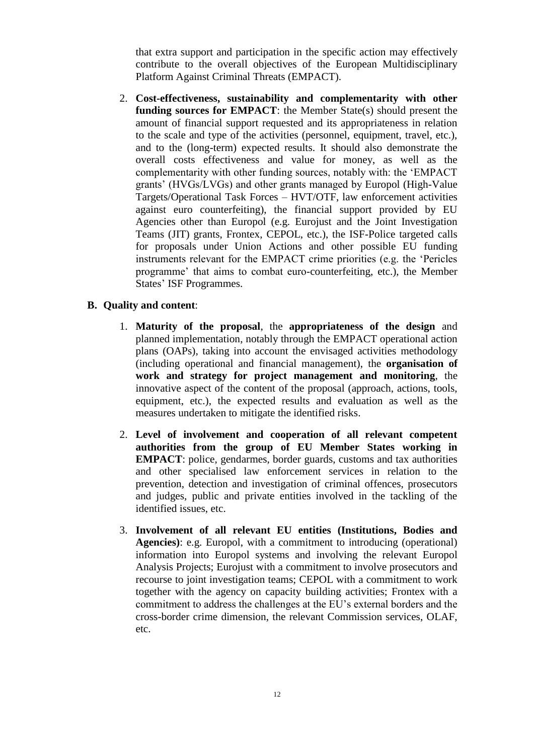that extra support and participation in the specific action may effectively contribute to the overall objectives of the European Multidisciplinary Platform Against Criminal Threats (EMPACT).

2. **Cost-effectiveness, sustainability and complementarity with other funding sources for EMPACT**: the Member State(s) should present the amount of financial support requested and its appropriateness in relation to the scale and type of the activities (personnel, equipment, travel, etc.), and to the (long-term) expected results. It should also demonstrate the overall costs effectiveness and value for money, as well as the complementarity with other funding sources, notably with: the 'EMPACT grants' (HVGs/LVGs) and other grants managed by Europol (High-Value Targets/Operational Task Forces – HVT/OTF, law enforcement activities against euro counterfeiting), the financial support provided by EU Agencies other than Europol (e.g. Eurojust and the Joint Investigation Teams (JIT) grants, Frontex, CEPOL, etc.), the ISF-Police targeted calls for proposals under Union Actions and other possible EU funding instruments relevant for the EMPACT crime priorities (e.g. the 'Pericles programme' that aims to combat euro-counterfeiting, etc.), the Member States' ISF Programmes.

## **B. Quality and content**:

- 1. **Maturity of the proposal**, the **appropriateness of the design** and planned implementation, notably through the EMPACT operational action plans (OAPs), taking into account the envisaged activities methodology (including operational and financial management), the **organisation of work and strategy for project management and monitoring**, the innovative aspect of the content of the proposal (approach, actions, tools, equipment, etc.), the expected results and evaluation as well as the measures undertaken to mitigate the identified risks.
- 2. **Level of involvement and cooperation of all relevant competent authorities from the group of EU Member States working in EMPACT**: police, gendarmes, border guards, customs and tax authorities and other specialised law enforcement services in relation to the prevention, detection and investigation of criminal offences, prosecutors and judges, public and private entities involved in the tackling of the identified issues, etc.
- 3. **Involvement of all relevant EU entities (Institutions, Bodies and Agencies)**: e.g. Europol, with a commitment to introducing (operational) information into Europol systems and involving the relevant Europol Analysis Projects; Eurojust with a commitment to involve prosecutors and recourse to joint investigation teams; CEPOL with a commitment to work together with the agency on capacity building activities; Frontex with a commitment to address the challenges at the EU's external borders and the cross-border crime dimension, the relevant Commission services, OLAF, etc.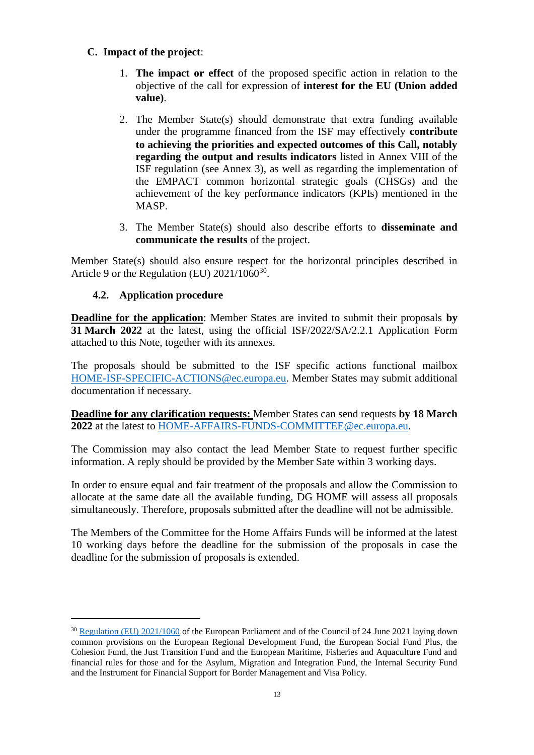## **C. Impact of the project**:

- 1. **The impact or effect** of the proposed specific action in relation to the objective of the call for expression of **interest for the EU (Union added value)**.
- 2. The Member State(s) should demonstrate that extra funding available under the programme financed from the ISF may effectively **contribute to achieving the priorities and expected outcomes of this Call, notably regarding the output and results indicators** listed in Annex VIII of the ISF regulation (see Annex 3), as well as regarding the implementation of the EMPACT common horizontal strategic goals (CHSGs) and the achievement of the key performance indicators (KPIs) mentioned in the MASP.
- 3. The Member State(s) should also describe efforts to **disseminate and communicate the results** of the project.

Member State(s) should also ensure respect for the horizontal principles described in Article 9 or the Regulation (EU)  $2021/1060^{30}$ .

## **4.2. Application procedure**

 $\overline{a}$ 

**Deadline for the application**: Member States are invited to submit their proposals **by 31 March 2022** at the latest, using the official ISF/2022/SA/2.2.1 Application Form attached to this Note, together with its annexes.

The proposals should be submitted to the ISF specific actions functional mailbox [HOME-ISF-SPECIFIC-ACTIONS@ec.europa.eu.](mailto:HOME-ISF-SPECIFIC-ACTIONS@ec.europa.eu) Member States may submit additional documentation if necessary.

**Deadline for any clarification requests:** Member States can send requests **by 18 March 2022** at the latest to [HOME-AFFAIRS-FUNDS-COMMITTEE@ec.europa.eu.](mailto:HOME-AFFAIRS-FUNDS-COMMITTEE@ec.europa.eu)

The Commission may also contact the lead Member State to request further specific information. A reply should be provided by the Member Sate within 3 working days.

In order to ensure equal and fair treatment of the proposals and allow the Commission to allocate at the same date all the available funding, DG HOME will assess all proposals simultaneously. Therefore, proposals submitted after the deadline will not be admissible.

The Members of the Committee for the Home Affairs Funds will be informed at the latest 10 working days before the deadline for the submission of the proposals in case the deadline for the submission of proposals is extended.

<sup>30</sup> [Regulation \(EU\) 2021/1060](https://eur-lex.europa.eu/legal-content/EN/TXT/PDF/?uri=CELEX:32021R1060&rid=1) of the European Parliament and of the Council of 24 June 2021 laying down common provisions on the European Regional Development Fund, the European Social Fund Plus, the Cohesion Fund, the Just Transition Fund and the European Maritime, Fisheries and Aquaculture Fund and financial rules for those and for the Asylum, Migration and Integration Fund, the Internal Security Fund and the Instrument for Financial Support for Border Management and Visa Policy.